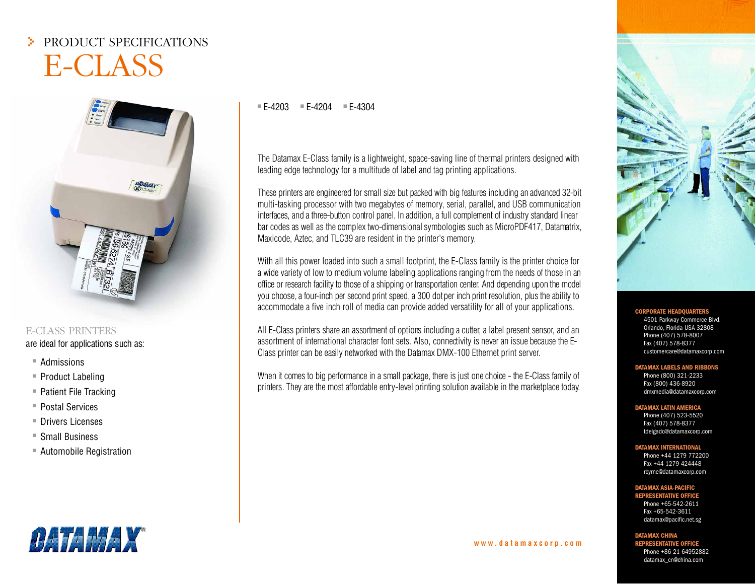# > PRODUCT SPECIFICATIONS E-CLASS



## E-CLASS PRINTERSare ideal for applications such as:

- $\hspace{0.1mm}{}^*$  Admissions
- $\hspace{0.1mm}$  Product Labeling
- $\hspace{0.1mm}{}^{\mathrlap{\text{\sf{I}}}}$  Patient File Tracking
- $\hspace{0.1mm}$  Postal Services
- $\hspace{0.5mm}$   $\hspace{0.5mm}$  Drivers Licenses
- $\hspace{0.1mm}{}^*$  Small Business
- $\hspace{0.1mm}$  Automobile Registration

## ■ E-4203 ■ E-4204 ■ E-4304

The Datamax E-Class family is <sup>a</sup> lightweight, space-saving line of thermal printers designed with leading edge technology for <sup>a</sup> multitude of label and tag printing applications.

These printers are engineered for small size but packed with big features including an advanced 32-bit multi-tasking processor with two megabytes of memory, serial, parallel, and USB communication interfaces, and <sup>a</sup> three-button control panel. In addition, <sup>a</sup> full complement of industry standard linear bar codes as well as the complex two-dimensional symbologies such as MicroPDF417, Datamatrix, Maxicode, Aztec, and TLC39 are resident in the printer's memory.

With all this power loaded into such a small footprint, the E-Class family is the printer choice for <sup>a</sup> wide variety of low to medium volume labeling applications ranging from the needs of those in an office or research facility to those of a shipping or transportation center. And depending upon the model you choose, a four-inch per second print speed, a 300 dot per inch print resolution, plus the ability to accommodate <sup>a</sup> five inch roll of media can provide added versatility for all of your applications.

All E-Class printers share an assortment of options including <sup>a</sup> cutter, a label present sensor, and an assortment of international character font sets. Also, connectivity is never an issue because the E-Class printer can be easily networked with the Datamax DMX-100 Ethernet print server.

When it comes to big performance in a small package, there is just one choice - the E-Class family of printers. They are the most affordable entry-level printing solution available in the marketplace today.



#### **CORPORATE**<br> **HEADQUARTER**

4501 Parkway Commerce Blvd. Orlando, Florida USA 32808 Phone (407) 578-8007 Fax (407) 578-8377 customercare@datamaxcorp.com

#### **DATAMAX LABELS AND RIBBONS**

Phone (800) 321-2233 Fax (800) 436-8920 dmxmedia@datamaxcorp.com

#### **DATAMAX LATIN AMERICA**

 Phone (407) 523-5520 Fax (407) 578-8377 tdelgado@datamaxcorp.com

#### **DATAMAX INTERNATIONAL**

Phone +44 1279 772200Fax +44 1279 424448rbyrne@datamaxcorp.com

#### **DATAMAX ASIA-PACIFIC**

**REPRESENTATIVE OFFICE**Phone +65-542-2611Fax +65-542-3611datamax@pacific.net.sg

**DATAMAX CHINA**

**w w w . d a t a m a x c o r p . c o m**

**REPRESENTATIVE OFFICE**Phone +86 21 64952882datamax\_cn@china.com